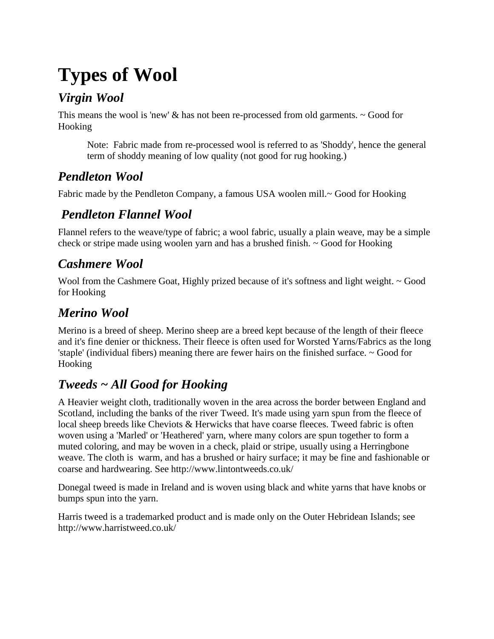## **Types of Wool**

#### *Virgin Wool*

This means the wool is 'new'  $\&$  has not been re-processed from old garments.  $\sim$  Good for Hooking

Note: Fabric made from re-processed wool is referred to as 'Shoddy', hence the general term of shoddy meaning of low quality (not good for rug hooking.)

### *Pendleton Wool*

Fabric made by the Pendleton Company, a famous USA woolen mill.~ Good for Hooking

#### *Pendleton Flannel Wool*

Flannel refers to the weave/type of fabric; a wool fabric, usually a plain weave, may be a simple check or stripe made using woolen yarn and has a brushed finish. ~ Good for Hooking

### *Cashmere Wool*

Wool from the Cashmere Goat, Highly prized because of it's softness and light weight. ~ Good for Hooking

### *Merino Wool*

Merino is a breed of sheep. Merino sheep are a breed kept because of the length of their fleece and it's fine denier or thickness. Their fleece is often used for Worsted Yarns/Fabrics as the long 'staple' (individual fibers) meaning there are fewer hairs on the finished surface. ~ Good for Hooking

## *Tweeds ~ All Good for Hooking*

A Heavier weight cloth, traditionally woven in the area across the border between England and Scotland, including the banks of the river Tweed. It's made using yarn spun from the fleece of local sheep breeds like Cheviots & Herwicks that have coarse fleeces. Tweed fabric is often woven using a 'Marled' or 'Heathered' yarn, where many colors are spun together to form a muted coloring, and may be woven in a check, plaid or stripe, usually using a Herringbone weave. The cloth is warm, and has a brushed or hairy surface; it may be fine and fashionable or coarse and hardwearing. See http://www.lintontweeds.co.uk/

Donegal tweed is made in Ireland and is woven using black and white yarns that have knobs or bumps spun into the yarn.

Harris tweed is a trademarked product and is made only on the Outer Hebridean Islands; see http://www.harristweed.co.uk/